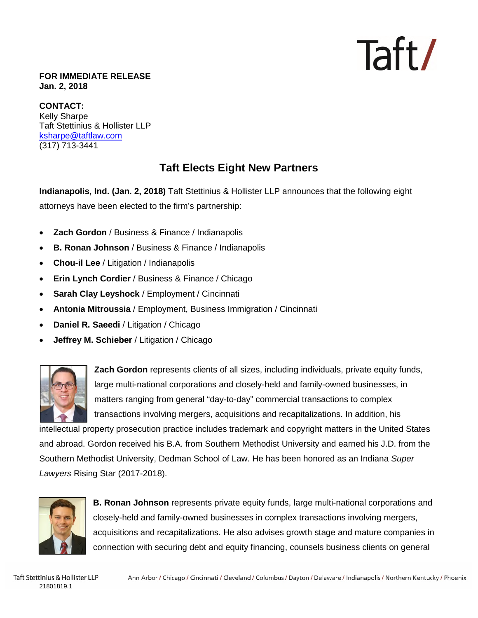### Taft/

#### **FOR IMMEDIATE RELEASE Jan. 2, 2018**

**CONTACT:**  Kelly Sharpe Taft Stettinius & Hollister LLP ksharpe@taftlaw.com (317) 713-3441

#### **Taft Elects Eight New Partners**

**Indianapolis, Ind. (Jan. 2, 2018)** Taft Stettinius & Hollister LLP announces that the following eight attorneys have been elected to the firm's partnership:

- **Zach Gordon** / Business & Finance / Indianapolis
- **B. Ronan Johnson** / Business & Finance / Indianapolis
- **Chou-il Lee** / Litigation / Indianapolis
- **Erin Lynch Cordier** / Business & Finance / Chicago
- **Sarah Clay Leyshock** / Employment / Cincinnati
- **Antonia Mitroussia** / Employment, Business Immigration / Cincinnati
- **Daniel R. Saeedi** / Litigation / Chicago
- **Jeffrey M. Schieber** / Litigation / Chicago



**Zach Gordon** represents clients of all sizes, including individuals, private equity funds, large multi-national corporations and closely-held and family-owned businesses, in matters ranging from general "day-to-day" commercial transactions to complex transactions involving mergers, acquisitions and recapitalizations. In addition, his

intellectual property prosecution practice includes trademark and copyright matters in the United States and abroad. Gordon received his B.A. from Southern Methodist University and earned his J.D. from the Southern Methodist University, Dedman School of Law. He has been honored as an Indiana *Super Lawyers* Rising Star (2017-2018).



**B. Ronan Johnson** represents private equity funds, large multi-national corporations and closely-held and family-owned businesses in complex transactions involving mergers, acquisitions and recapitalizations. He also advises growth stage and mature companies in connection with securing debt and equity financing, counsels business clients on general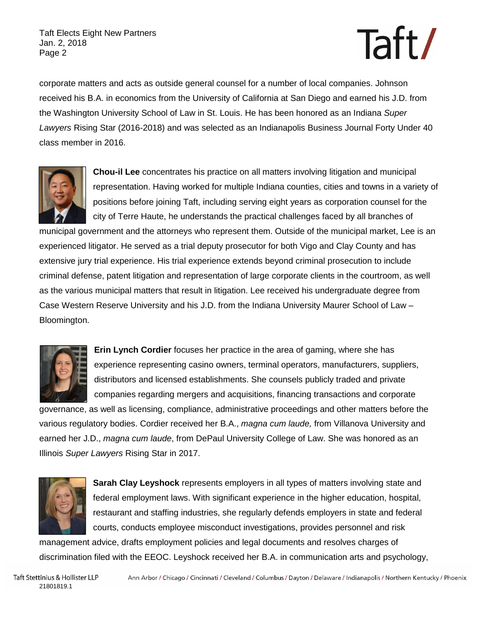Taft Elects Eight New Partners Jan. 2, 2018 Page 2

# Taft/

corporate matters and acts as outside general counsel for a number of local companies. Johnson received his B.A. in economics from the University of California at San Diego and earned his J.D. from the Washington University School of Law in St. Louis. He has been honored as an Indiana *Super Lawyers* Rising Star (2016-2018) and was selected as an Indianapolis Business Journal Forty Under 40 class member in 2016.



**Chou-il Lee** concentrates his practice on all matters involving litigation and municipal representation. Having worked for multiple Indiana counties, cities and towns in a variety of positions before joining Taft, including serving eight years as corporation counsel for the city of Terre Haute, he understands the practical challenges faced by all branches of

municipal government and the attorneys who represent them. Outside of the municipal market, Lee is an experienced litigator. He served as a trial deputy prosecutor for both Vigo and Clay County and has extensive jury trial experience. His trial experience extends beyond criminal prosecution to include criminal defense, patent litigation and representation of large corporate clients in the courtroom, as well as the various municipal matters that result in litigation. Lee received his undergraduate degree from Case Western Reserve University and his J.D. from the Indiana University Maurer School of Law – Bloomington.



**Erin Lynch Cordier** focuses her practice in the area of gaming, where she has experience representing casino owners, terminal operators, manufacturers, suppliers, distributors and licensed establishments. She counsels publicly traded and private companies regarding mergers and acquisitions, financing transactions and corporate

governance, as well as licensing, compliance, administrative proceedings and other matters before the various regulatory bodies. Cordier received her B.A., *magna cum laude,* from Villanova University and earned her J.D., *magna cum laude*, from DePaul University College of Law. She was honored as an Illinois *Super Lawyers* Rising Star in 2017.



**Sarah Clay Leyshock** represents employers in all types of matters involving state and federal employment laws. With significant experience in the higher education, hospital, restaurant and staffing industries, she regularly defends employers in state and federal courts, conducts employee misconduct investigations, provides personnel and risk

management advice, drafts employment policies and legal documents and resolves charges of discrimination filed with the EEOC. Leyshock received her B.A. in communication arts and psychology,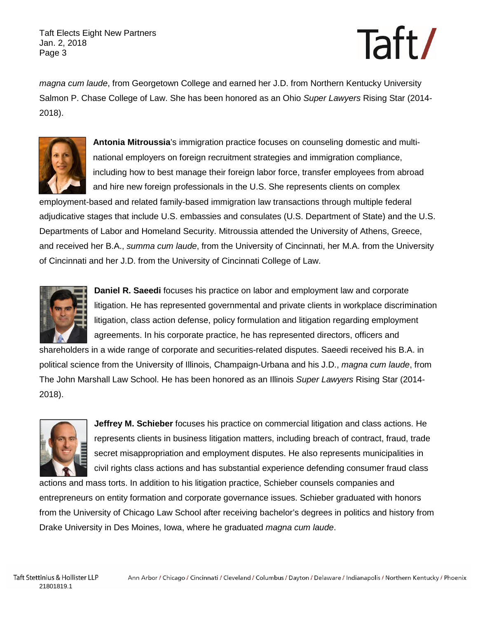Taft Elects Eight New Partners Jan. 2, 2018 Page 3

# Taft/

*magna cum laude*, from Georgetown College and earned her J.D. from Northern Kentucky University Salmon P. Chase College of Law. She has been honored as an Ohio *Super Lawyers* Rising Star (2014- 2018).



**Antonia Mitroussia**'s immigration practice focuses on counseling domestic and multinational employers on foreign recruitment strategies and immigration compliance, including how to best manage their foreign labor force, transfer employees from abroad and hire new foreign professionals in the U.S. She represents clients on complex

employment-based and related family-based immigration law transactions through multiple federal adjudicative stages that include U.S. embassies and consulates (U.S. Department of State) and the U.S. Departments of Labor and Homeland Security. Mitroussia attended the University of Athens, Greece, and received her B.A., *summa cum laude*, from the University of Cincinnati, her M.A. from the University of Cincinnati and her J.D. from the University of Cincinnati College of Law.



**Daniel R. Saeedi** focuses his practice on labor and employment law and corporate litigation. He has represented governmental and private clients in workplace discrimination litigation, class action defense, policy formulation and litigation regarding employment agreements. In his corporate practice, he has represented directors, officers and

shareholders in a wide range of corporate and securities-related disputes. Saeedi received his B.A. in political science from the University of Illinois, Champaign-Urbana and his J.D., *magna cum laude*, from The John Marshall Law School. He has been honored as an Illinois *Super Lawyers* Rising Star (2014- 2018).



**Jeffrey M. Schieber** focuses his practice on commercial litigation and class actions. He represents clients in business litigation matters, including breach of contract, fraud, trade secret misappropriation and employment disputes. He also represents municipalities in civil rights class actions and has substantial experience defending consumer fraud class

actions and mass torts. In addition to his litigation practice, Schieber counsels companies and entrepreneurs on entity formation and corporate governance issues. Schieber graduated with honors from the University of Chicago Law School after receiving bachelor's degrees in politics and history from Drake University in Des Moines, Iowa, where he graduated *magna cum laude*.